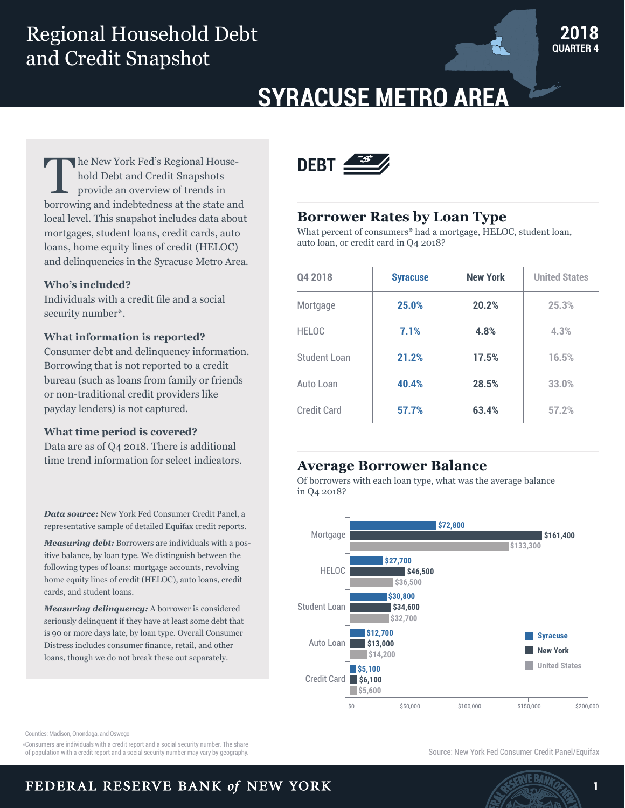## Regional Household Debt and Credit Snapshot



# **SYRACUSE METRO AREA**

he New York Fed's Regional Household Debt and Credit Snapshots provide an overview of trends in borrowing and indebtedness at the state and local level. This snapshot includes data about mortgages, student loans, credit cards, auto loans, home equity lines of credit (HELOC) and delinquencies in the Syracuse Metro Area.

#### **Who's included?**

Individuals with a credit file and a social security number\*.

#### **What information is reported?**

Consumer debt and delinquency information. Borrowing that is not reported to a credit bureau (such as loans from family or friends or non-traditional credit providers like payday lenders) is not captured.

#### **What time period is covered?**

Data are as of Q4 2018. There is additional time trend information for select indicators.

*Data source:* New York Fed Consumer Credit Panel, a representative sample of detailed Equifax credit reports.

*Measuring debt:* Borrowers are individuals with a positive balance, by loan type. We distinguish between the following types of loans: mortgage accounts, revolving home equity lines of credit (HELOC), auto loans, credit cards, and student loans.

*Measuring delinquency:* A borrower is considered seriously delinquent if they have at least some debt that is 90 or more days late, by loan type. Overall Consumer Distress includes consumer finance, retail, and other loans, though we do not break these out separately.



#### **Borrower Rates by Loan Type**

What percent of consumers\* had a mortgage, HELOC, student loan, auto loan, or credit card in Q4 2018?

| Q4 2018      | <b>Syracuse</b> | <b>New York</b> | <b>United States</b> |
|--------------|-----------------|-----------------|----------------------|
| Mortgage     | 25.0%           | 20.2%           | 25.3%                |
| <b>HELOC</b> | 7.1%            | 4.8%            | 4.3%                 |
| Student Loan | 21.2%           | 17.5%           | 16.5%                |
| Auto Loan    | 40.4%           | 28.5%           | 33.0%                |
| Credit Card  | 57.7%           | 63.4%           | 57.2%                |

## **Average Borrower Balance**

Of borrowers with each loan type, what was the average balance in Q4 2018?



Counties: Madison, Onondaga, and Oswego

\*Consumers are individuals with a credit report and a social security number. The share

of population with a credit report and a social security number may vary by geography. The state of the state of the social security number may vary by geography.